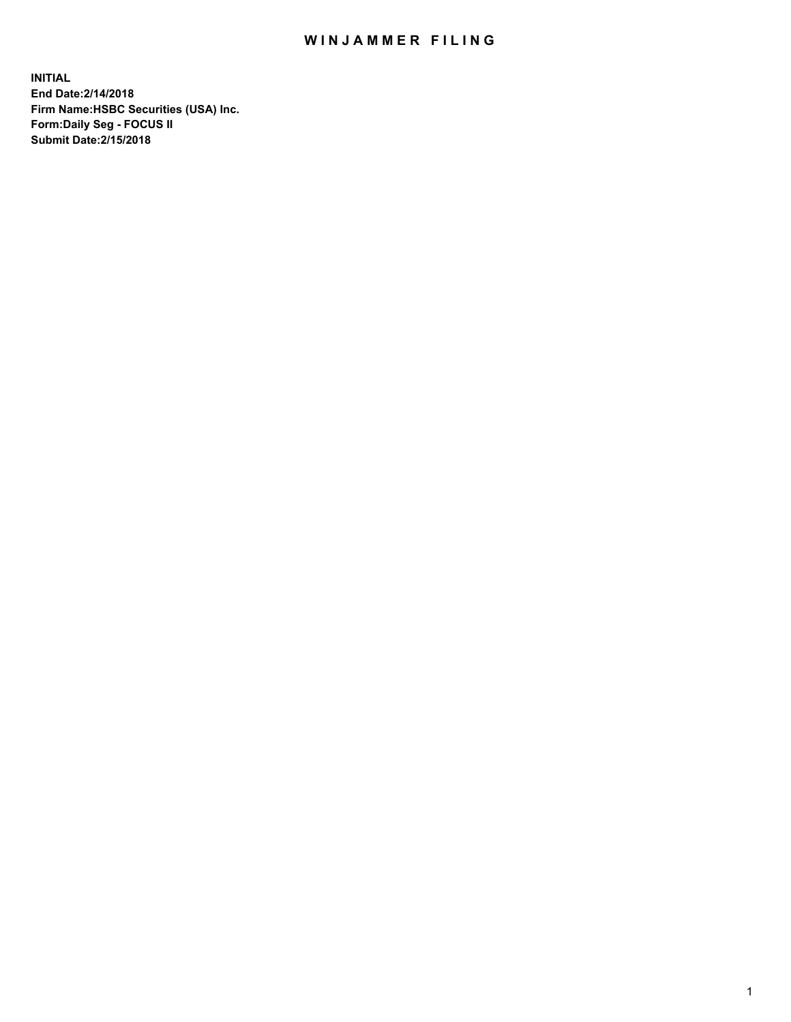## WIN JAMMER FILING

**INITIAL End Date:2/14/2018 Firm Name:HSBC Securities (USA) Inc. Form:Daily Seg - FOCUS II Submit Date:2/15/2018**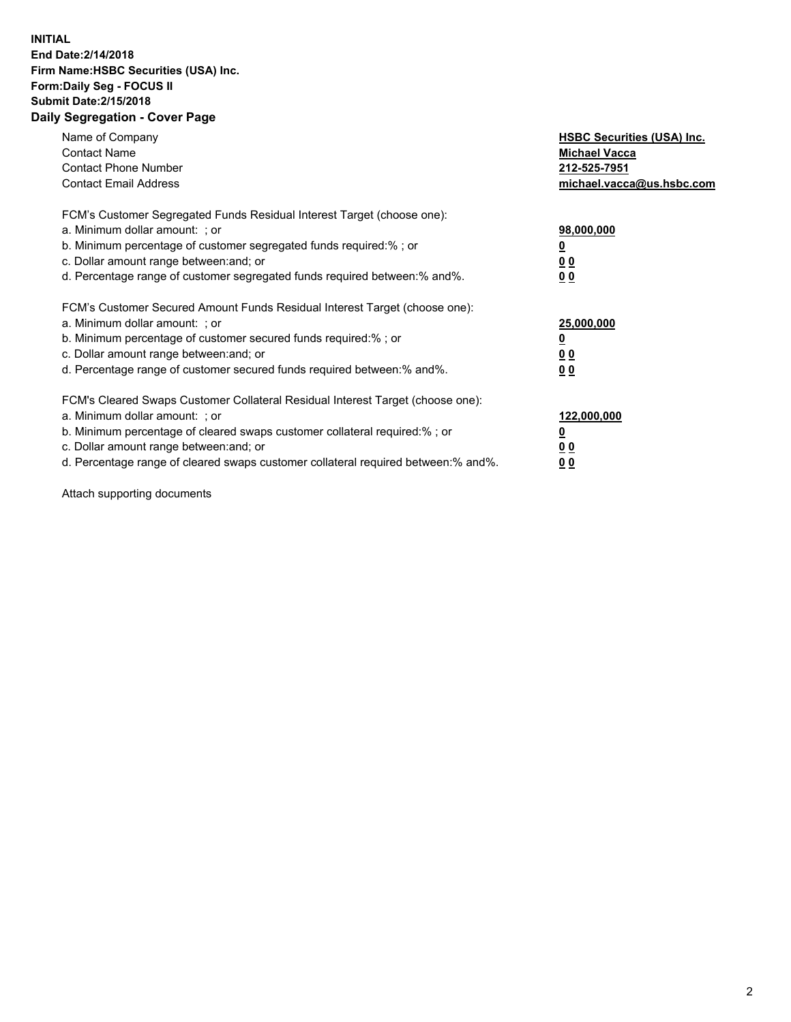## **INITIAL End Date:2/14/2018 Firm Name:HSBC Securities (USA) Inc. Form:Daily Seg - FOCUS II Submit Date:2/15/2018 Daily Segregation - Cover Page**

| Name of Company<br><b>Contact Name</b><br><b>Contact Phone Number</b><br><b>Contact Email Address</b>                                                                                                                                                                                                                         | <b>HSBC Securities (USA) Inc.</b><br><b>Michael Vacca</b><br>212-525-7951<br>michael.vacca@us.hsbc.com |
|-------------------------------------------------------------------------------------------------------------------------------------------------------------------------------------------------------------------------------------------------------------------------------------------------------------------------------|--------------------------------------------------------------------------------------------------------|
| FCM's Customer Segregated Funds Residual Interest Target (choose one):<br>a. Minimum dollar amount: ; or<br>b. Minimum percentage of customer segregated funds required:%; or<br>c. Dollar amount range between: and; or<br>d. Percentage range of customer segregated funds required between: % and %.                       | 98,000,000<br><u>0</u><br><u>00</u><br><u>00</u>                                                       |
| FCM's Customer Secured Amount Funds Residual Interest Target (choose one):<br>a. Minimum dollar amount: ; or<br>b. Minimum percentage of customer secured funds required:%; or<br>c. Dollar amount range between: and; or<br>d. Percentage range of customer secured funds required between: % and %.                         | 25,000,000<br><u>0</u><br><u>00</u><br>00                                                              |
| FCM's Cleared Swaps Customer Collateral Residual Interest Target (choose one):<br>a. Minimum dollar amount: ; or<br>b. Minimum percentage of cleared swaps customer collateral required:%; or<br>c. Dollar amount range between: and; or<br>d. Percentage range of cleared swaps customer collateral required between:% and%. | 122,000,000<br><u>0</u><br><u>00</u><br><u>00</u>                                                      |

Attach supporting documents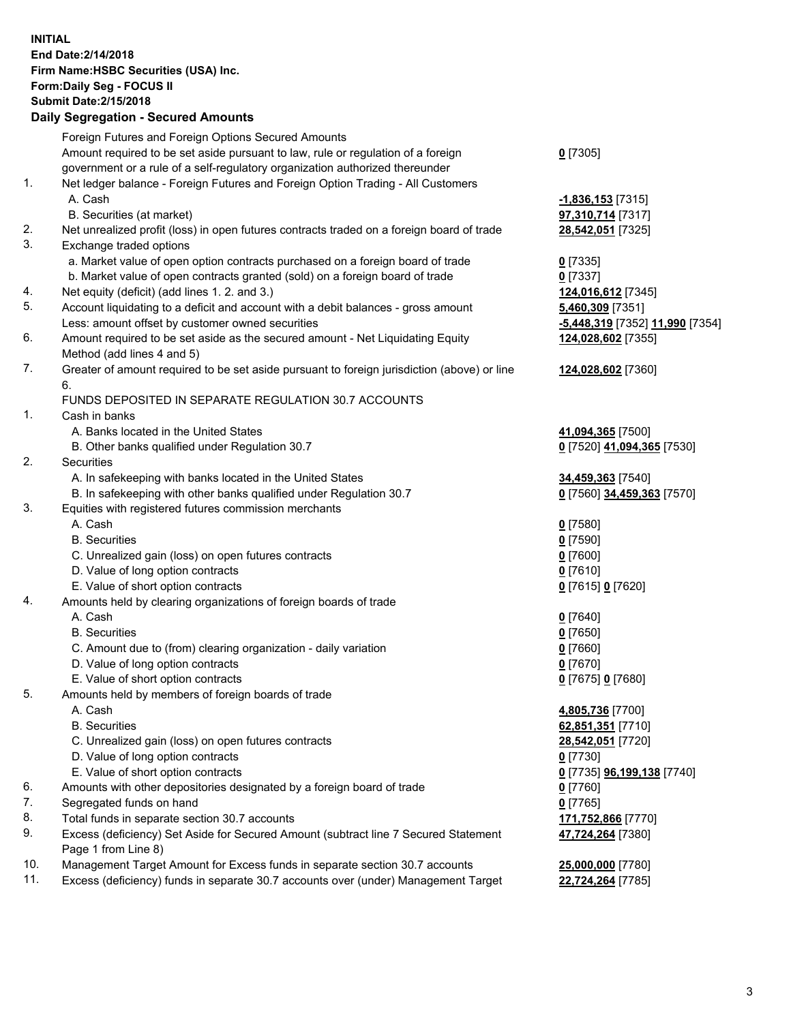**INITIAL End Date:2/14/2018 Firm Name:HSBC Securities (USA) Inc. Form:Daily Seg - FOCUS II Submit Date:2/15/2018 Daily Segregation - Secured Amounts**

Foreign Futures and Foreign Options Secured Amounts Amount required to be set aside pursuant to law, rule or regulation of a foreign government or a rule of a self-regulatory organization authorized thereunder **0** [7305] 1. Net ledger balance - Foreign Futures and Foreign Option Trading - All Customers A. Cash **-1,836,153** [7315] B. Securities (at market) **97,310,714** [7317] 2. Net unrealized profit (loss) in open futures contracts traded on a foreign board of trade **28,542,051** [7325] 3. Exchange traded options a. Market value of open option contracts purchased on a foreign board of trade **0** [7335] b. Market value of open contracts granted (sold) on a foreign board of trade **0** [7337] 4. Net equity (deficit) (add lines 1. 2. and 3.) **124,016,612** [7345] 5. Account liquidating to a deficit and account with a debit balances - gross amount **5,460,309** [7351] Less: amount offset by customer owned securities **-5,448,319** [7352] **11,990** [7354] 6. Amount required to be set aside as the secured amount - Net Liquidating Equity Method (add lines 4 and 5) **124,028,602** [7355] 7. Greater of amount required to be set aside pursuant to foreign jurisdiction (above) or line 6. **124,028,602** [7360] FUNDS DEPOSITED IN SEPARATE REGULATION 30.7 ACCOUNTS 1. Cash in banks A. Banks located in the United States **41,094,365** [7500] B. Other banks qualified under Regulation 30.7 **0** [7520] **41,094,365** [7530] 2. Securities A. In safekeeping with banks located in the United States **34,459,363** [7540] B. In safekeeping with other banks qualified under Regulation 30.7 **0** [7560] **34,459,363** [7570] 3. Equities with registered futures commission merchants A. Cash **0** [7580] B. Securities **0** [7590] C. Unrealized gain (loss) on open futures contracts **0** [7600] D. Value of long option contracts **0** [7610] E. Value of short option contracts **0** [7615] **0** [7620] 4. Amounts held by clearing organizations of foreign boards of trade A. Cash **0** [7640] B. Securities **0** [7650] C. Amount due to (from) clearing organization - daily variation **0** [7660] D. Value of long option contracts **0** [7670] E. Value of short option contracts **0** [7675] **0** [7680] 5. Amounts held by members of foreign boards of trade A. Cash **4,805,736** [7700] B. Securities **62,851,351** [7710] C. Unrealized gain (loss) on open futures contracts **28,542,051** [7720] D. Value of long option contracts **0** [7730] E. Value of short option contracts **0** [7735] **96,199,138** [7740] 6. Amounts with other depositories designated by a foreign board of trade **0** [7760] 7. Segregated funds on hand **0** [7765] 8. Total funds in separate section 30.7 accounts **171,752,866** [7770] 9. Excess (deficiency) Set Aside for Secured Amount (subtract line 7 Secured Statement Page 1 from Line 8) **47,724,264** [7380] 10. Management Target Amount for Excess funds in separate section 30.7 accounts **25,000,000** [7780] 11. Excess (deficiency) funds in separate 30.7 accounts over (under) Management Target **22,724,264** [7785]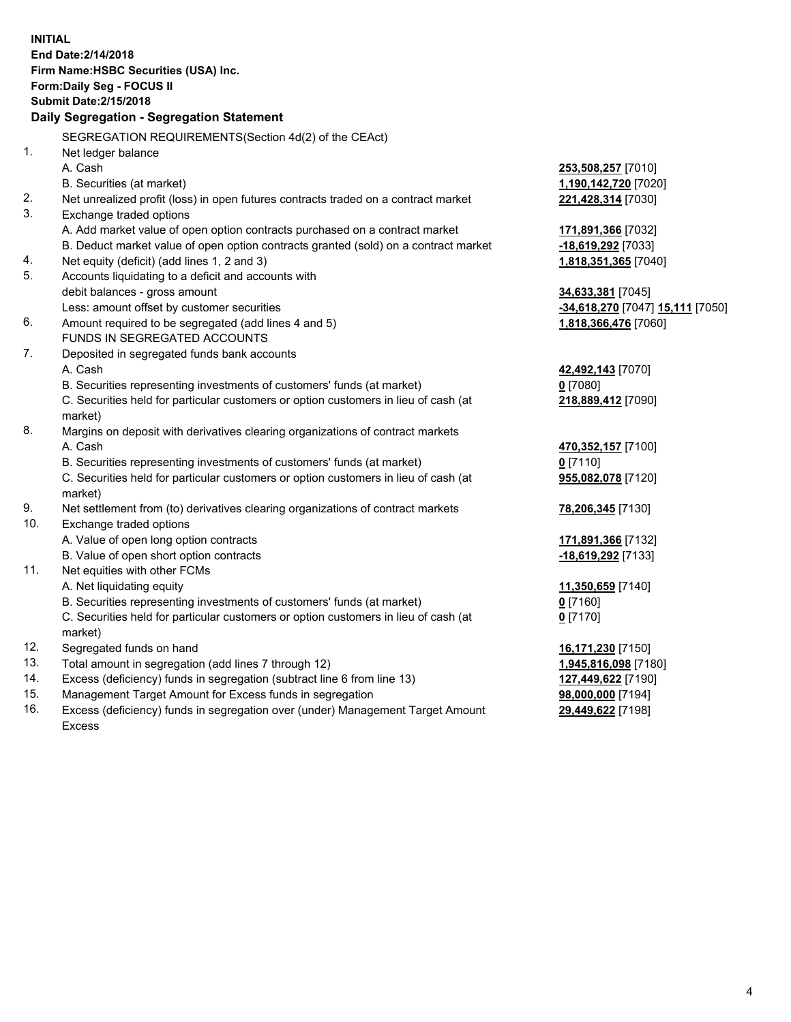**INITIAL End Date:2/14/2018 Firm Name:HSBC Securities (USA) Inc. Form:Daily Seg - FOCUS II Submit Date:2/15/2018 Daily Segregation - Segregation Statement** SEGREGATION REQUIREMENTS(Section 4d(2) of the CEAct) 1. Net ledger balance A. Cash **253,508,257** [7010] B. Securities (at market) **1,190,142,720** [7020] 2. Net unrealized profit (loss) in open futures contracts traded on a contract market **221,428,314** [7030] 3. Exchange traded options A. Add market value of open option contracts purchased on a contract market **171,891,366** [7032] B. Deduct market value of open option contracts granted (sold) on a contract market **-18,619,292** [7033] 4. Net equity (deficit) (add lines 1, 2 and 3) **1,818,351,365** [7040] 5. Accounts liquidating to a deficit and accounts with debit balances - gross amount **34,633,381** [7045] Less: amount offset by customer securities **-34,618,270** [7047] **15,111** [7050] 6. Amount required to be segregated (add lines 4 and 5) **1,818,366,476** [7060] FUNDS IN SEGREGATED ACCOUNTS 7. Deposited in segregated funds bank accounts A. Cash **42,492,143** [7070] B. Securities representing investments of customers' funds (at market) **0** [7080] C. Securities held for particular customers or option customers in lieu of cash (at market) **218,889,412** [7090] 8. Margins on deposit with derivatives clearing organizations of contract markets A. Cash **470,352,157** [7100] B. Securities representing investments of customers' funds (at market) **0** [7110] C. Securities held for particular customers or option customers in lieu of cash (at market) **955,082,078** [7120] 9. Net settlement from (to) derivatives clearing organizations of contract markets **78,206,345** [7130] 10. Exchange traded options A. Value of open long option contracts **171,891,366** [7132] B. Value of open short option contracts **-18,619,292** [7133] 11. Net equities with other FCMs A. Net liquidating equity **11,350,659** [7140] B. Securities representing investments of customers' funds (at market) **0** [7160] C. Securities held for particular customers or option customers in lieu of cash (at market) **0** [7170] 12. Segregated funds on hand **16,171,230** [7150] 13. Total amount in segregation (add lines 7 through 12) **1,945,816,098** [7180] 14. Excess (deficiency) funds in segregation (subtract line 6 from line 13) **127,449,622** [7190] 15. Management Target Amount for Excess funds in segregation **98,000,000** [7194] **29,449,622** [7198]

16. Excess (deficiency) funds in segregation over (under) Management Target Amount Excess